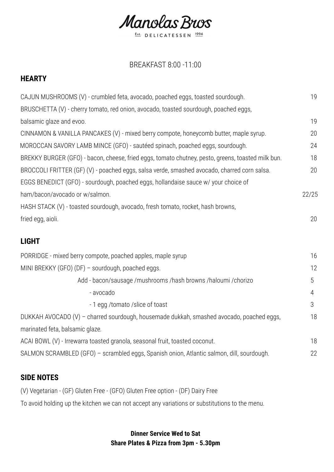Manolas Buos Est. DELICATESSEN 1994

# BREAKFAST 8:00 -11:00

# **HEARTY**

| CAJUN MUSHROOMS (V) - crumbled feta, avocado, poached eggs, toasted sourdough.                    | 19             |
|---------------------------------------------------------------------------------------------------|----------------|
| BRUSCHETTA (V) - cherry tomato, red onion, avocado, toasted sourdough, poached eggs,              |                |
| balsamic glaze and evoo.                                                                          | 19             |
| CINNAMON & VANILLA PANCAKES (V) - mixed berry compote, honeycomb butter, maple syrup.             | 20             |
| MOROCCAN SAVORY LAMB MINCE (GFO) - sautéed spinach, poached eggs, sourdough.                      | 24             |
| BREKKY BURGER (GFO) - bacon, cheese, fried eggs, tomato chutney, pesto, greens, toasted milk bun. | 18             |
| BROCCOLI FRITTER (GF) (V) - poached eggs, salsa verde, smashed avocado, charred corn salsa.       | 20             |
| EGGS BENEDICT (GFO) - sourdough, poached eggs, hollandaise sauce w/ your choice of                |                |
| ham/bacon/avocado or w/salmon.                                                                    | 22/25          |
| HASH STACK (V) - toasted sourdough, avocado, fresh tomato, rocket, hash browns,                   |                |
| fried egg, aioli.                                                                                 | 20             |
| <b>LIGHT</b>                                                                                      |                |
| PORRIDGE - mixed berry compote, poached apples, maple syrup                                       | 16             |
| MINI BREKKY (GFO) (DF) - sourdough, poached eggs.                                                 | 12             |
| Add - bacon/sausage /mushrooms /hash browns /haloumi /chorizo                                     | 5              |
| - avocado                                                                                         | $\overline{4}$ |
| - 1 egg /tomato /slice of toast                                                                   | 3              |
| DUKKAH AVOCADO (V) - charred sourdough, housemade dukkah, smashed avocado, poached eggs,          | 18             |
| marinated feta, balsamic glaze.                                                                   |                |
| ACAI BOWL (V) - Irrewarra toasted granola, seasonal fruit, toasted coconut.                       | 18             |
| SALMON SCRAMBLED (GFO) - scrambled eggs, Spanish onion, Atlantic salmon, dill, sourdough.         | 22             |

## **SIDE NOTES**

(V) Vegetarian - (GF) Gluten Free - (GFO) Gluten Free option - (DF) Dairy Free

To avoid holding up the kitchen we can not accept any variations or substitutions to the menu.

### **Dinner Service Wed to Sat Share Plates & Pizza from 3pm - 5.30pm**